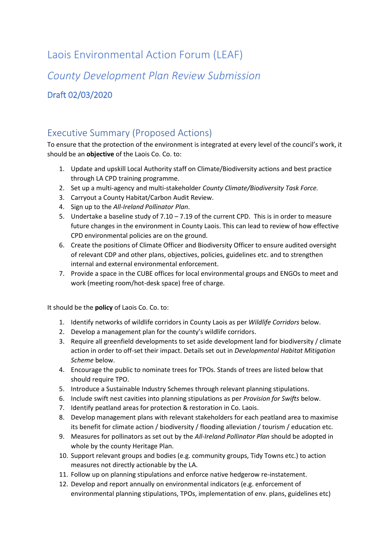# Laois Environmental Action Forum (LEAF)

*County Development Plan Review Submission*

Draft 02/03/2020

# <span id="page-0-0"></span>Executive Summary (Proposed Actions)

To ensure that the protection of the environment is integrated at every level of the council's work, it should be an **objective** of the Laois Co. Co. to:

- 1. Update and upskill Local Authority staff on Climate/Biodiversity actions and best practice through LA CPD training programme.
- 2. Set up a multi-agency and multi-stakeholder *County Climate/Biodiversity Task Force.*
- 3. Carryout a County Habitat/Carbon Audit Review.
- 4. Sign up to the *All-Ireland Pollinator Plan*.
- 5. Undertake a baseline study of 7.10 7.19 of the current CPD. This is in order to measure future changes in the environment in County Laois. This can lead to review of how effective CPD environmental policies are on the ground.
- 6. Create the positions of Climate Officer and Biodiversity Officer to ensure audited oversight of relevant CDP and other plans, objectives, policies, guidelines etc. and to strengthen internal and external environmental enforcement.
- 7. Provide a space in the CUBE offices for local environmental groups and ENGOs to meet and work (meeting room/hot-desk space) free of charge.

It should be the **policy** of Laois Co. Co. to:

- 1. Identify networks of wildlife corridors in County Laois as per *Wildlife Corridors* below.
- 2. Develop a management plan for the county's wildlife corridors.
- 3. Require all greenfield developments to set aside development land for biodiversity / climate action in order to off-set their impact. Details set out in *Developmental Habitat Mitigation Scheme* below.
- 4. Encourage the public to nominate trees for TPOs. Stands of trees are listed below that should require TPO.
- 5. Introduce a Sustainable Industry Schemes through relevant planning stipulations.
- 6. Include swift nest cavities into planning stipulations as per *Provision for Swifts* below.
- 7. Identify peatland areas for protection & restoration in Co. Laois.
- 8. Develop management plans with relevant stakeholders for each peatland area to maximise its benefit for climate action / biodiversity / flooding alleviation / tourism / education etc.
- 9. Measures for pollinators as set out by the *All-Ireland Pollinator Plan* should be adopted in whole by the county Heritage Plan.
- 10. Support relevant groups and bodies (e.g. community groups, Tidy Towns etc.) to action measures not directly actionable by the LA.
- 11. Follow up on planning stipulations and enforce native hedgerow re-instatement.
- 12. Develop and report annually on environmental indicators (e.g. enforcement of environmental planning stipulations, TPOs, implementation of env. plans, guidelines etc)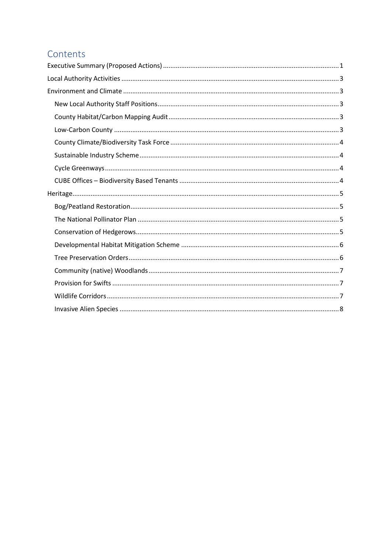# Contents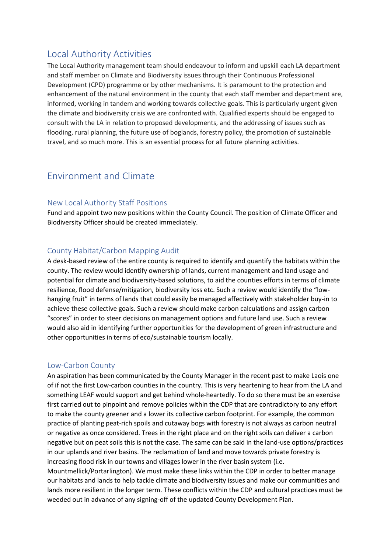# <span id="page-2-0"></span>Local Authority Activities

The Local Authority management team should endeavour to inform and upskill each LA department and staff member on Climate and Biodiversity issues through their Continuous Professional Development (CPD) programme or by other mechanisms. It is paramount to the protection and enhancement of the natural environment in the county that each staff member and department are, informed, working in tandem and working towards collective goals. This is particularly urgent given the climate and biodiversity crisis we are confronted with. Qualified experts should be engaged to consult with the LA in relation to proposed developments, and the addressing of issues such as flooding, rural planning, the future use of boglands, forestry policy, the promotion of sustainable travel, and so much more. This is an essential process for all future planning activities.

# <span id="page-2-1"></span>Environment and Climate

### <span id="page-2-2"></span>New Local Authority Staff Positions

Fund and appoint two new positions within the County Council. The position of Climate Officer and Biodiversity Officer should be created immediately.

### <span id="page-2-3"></span>County Habitat/Carbon Mapping Audit

A desk-based review of the entire county is required to identify and quantify the habitats within the county. The review would identify ownership of lands, current management and land usage and potential for climate and biodiversity-based solutions, to aid the counties efforts in terms of climate resilience, flood defense/mitigation, biodiversity loss etc. Such a review would identify the "lowhanging fruit" in terms of lands that could easily be managed affectively with stakeholder buy-in to achieve these collective goals. Such a review should make carbon calculations and assign carbon "scores" in order to steer decisions on management options and future land use. Such a review would also aid in identifying further opportunities for the development of green infrastructure and other opportunities in terms of eco/sustainable tourism locally.

### <span id="page-2-4"></span>Low-Carbon County

An aspiration has been communicated by the County Manager in the recent past to make Laois one of if not the first Low-carbon counties in the country. This is very heartening to hear from the LA and something LEAF would support and get behind whole-heartedly. To do so there must be an exercise first carried out to pinpoint and remove policies within the CDP that are contradictory to any effort to make the county greener and a lower its collective carbon footprint. For example, the common practice of planting peat-rich spoils and cutaway bogs with forestry is not always as carbon neutral or negative as once considered. Trees in the right place and on the right soils can deliver a carbon negative but on peat soils this is not the case. The same can be said in the land-use options/practices in our uplands and river basins. The reclamation of land and move towards private forestry is increasing flood risk in our towns and villages lower in the river basin system (i.e.

Mountmellick/Portarlington). We must make these links within the CDP in order to better manage our habitats and lands to help tackle climate and biodiversity issues and make our communities and lands more resilient in the longer term. These conflicts within the CDP and cultural practices must be weeded out in advance of any signing-off of the updated County Development Plan.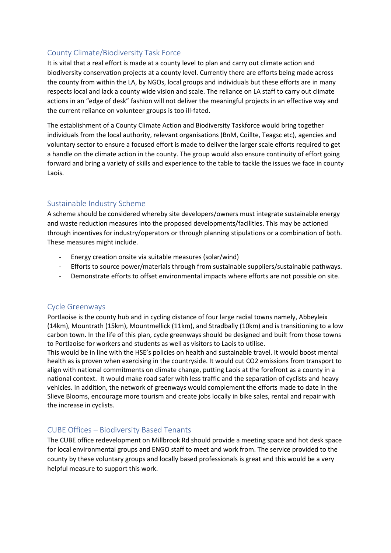### <span id="page-3-0"></span>County Climate/Biodiversity Task Force

It is vital that a real effort is made at a county level to plan and carry out climate action and biodiversity conservation projects at a county level. Currently there are efforts being made across the county from within the LA, by NGOs, local groups and individuals but these efforts are in many respects local and lack a county wide vision and scale. The reliance on LA staff to carry out climate actions in an "edge of desk" fashion will not deliver the meaningful projects in an effective way and the current reliance on volunteer groups is too ill-fated.

The establishment of a County Climate Action and Biodiversity Taskforce would bring together individuals from the local authority, relevant organisations (BnM, Coillte, Teagsc etc), agencies and voluntary sector to ensure a focused effort is made to deliver the larger scale efforts required to get a handle on the climate action in the county. The group would also ensure continuity of effort going forward and bring a variety of skills and experience to the table to tackle the issues we face in county Laois.

### <span id="page-3-1"></span>Sustainable Industry Scheme

A scheme should be considered whereby site developers/owners must integrate sustainable energy and waste reduction measures into the proposed developments/facilities. This may be actioned through incentives for industry/operators or through planning stipulations or a combination of both. These measures might include.

- Energy creation onsite via suitable measures (solar/wind)
- Efforts to source power/materials through from sustainable suppliers/sustainable pathways.
- Demonstrate efforts to offset environmental impacts where efforts are not possible on site.

### <span id="page-3-2"></span>Cycle Greenways

Portlaoise is the county hub and in cycling distance of four large radial towns namely, Abbeyleix (14km), Mountrath (15km), Mountmellick (11km), and Stradbally (10km) and is transitioning to a low carbon town. In the life of this plan, cycle greenways should be designed and built from those towns to Portlaoise for workers and students as well as visitors to Laois to utilise.

This would be in line with the HSE's policies on health and sustainable travel. It would boost mental health as is proven when exercising in the countryside. It would cut CO2 emissions from transport to align with national commitments on climate change, putting Laois at the forefront as a county in a national context. It would make road safer with less traffic and the separation of cyclists and heavy vehicles. In addition, the network of greenways would complement the efforts made to date in the Slieve Blooms, encourage more tourism and create jobs locally in bike sales, rental and repair with the increase in cyclists.

### <span id="page-3-3"></span>CUBE Offices – Biodiversity Based Tenants

The CUBE office redevelopment on Millbrook Rd should provide a meeting space and hot desk space for local environmental groups and ENGO staff to meet and work from. The service provided to the county by these voluntary groups and locally based professionals is great and this would be a very helpful measure to support this work.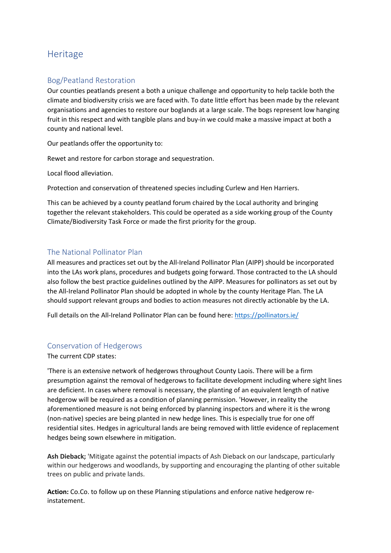# <span id="page-4-0"></span>**Heritage**

## <span id="page-4-1"></span>Bog/Peatland Restoration

Our counties peatlands present a both a unique challenge and opportunity to help tackle both the climate and biodiversity crisis we are faced with. To date little effort has been made by the relevant organisations and agencies to restore our boglands at a large scale. The bogs represent low hanging fruit in this respect and with tangible plans and buy-in we could make a massive impact at both a county and national level.

Our peatlands offer the opportunity to:

Rewet and restore for carbon storage and sequestration.

Local flood alleviation.

Protection and conservation of threatened species including Curlew and Hen Harriers.

This can be achieved by a county peatland forum chaired by the Local authority and bringing together the relevant stakeholders. This could be operated as a side working group of the County Climate/Biodiversity Task Force or made the first priority for the group.

### <span id="page-4-2"></span>The National Pollinator Plan

All measures and practices set out by the All-Ireland Pollinator Plan (AIPP) should be incorporated into the LAs work plans, procedures and budgets going forward. Those contracted to the LA should also follow the best practice guidelines outlined by the AIPP. Measures for pollinators as set out by the All-Ireland Pollinator Plan should be adopted in whole by the county Heritage Plan. The LA should support relevant groups and bodies to action measures not directly actionable by the LA.

Full details on the All-Ireland Pollinator Plan can be found here:<https://pollinators.ie/>

### <span id="page-4-3"></span>Conservation of Hedgerows

The current CDP states:

'There is an extensive network of hedgerows throughout County Laois. There will be a firm presumption against the removal of hedgerows to facilitate development including where sight lines are deficient. In cases where removal is necessary, the planting of an equivalent length of native hedgerow will be required as a condition of planning permission. 'However, in reality the aforementioned measure is not being enforced by planning inspectors and where it is the wrong (non-native) species are being planted in new hedge lines. This is especially true for one off residential sites. Hedges in agricultural lands are being removed with little evidence of replacement hedges being sown elsewhere in mitigation.

**Ash Dieback;** 'Mitigate against the potential impacts of Ash Dieback on our landscape, particularly within our hedgerows and woodlands, by supporting and encouraging the planting of other suitable trees on public and private lands.

**Action:** Co.Co. to follow up on these Planning stipulations and enforce native hedgerow reinstatement.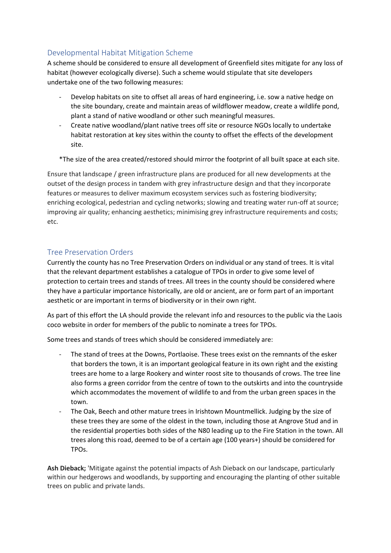# <span id="page-5-0"></span>Developmental Habitat Mitigation Scheme

A scheme should be considered to ensure all development of Greenfield sites mitigate for any loss of habitat (however ecologically diverse). Such a scheme would stipulate that site developers undertake one of the two following measures:

- Develop habitats on site to offset all areas of hard engineering, i.e. sow a native hedge on the site boundary, create and maintain areas of wildflower meadow, create a wildlife pond, plant a stand of native woodland or other such meaningful measures.
- Create native woodland/plant native trees off site or resource NGOs locally to undertake habitat restoration at key sites within the county to offset the effects of the development site.

\*The size of the area created/restored should mirror the footprint of all built space at each site.

Ensure that landscape / green infrastructure plans are produced for all new developments at the outset of the design process in tandem with grey infrastructure design and that they incorporate features or measures to deliver maximum ecosystem services such as fostering biodiversity; enriching ecological, pedestrian and cycling networks; slowing and treating water run-off at source; improving air quality; enhancing aesthetics; minimising grey infrastructure requirements and costs; etc.

### <span id="page-5-1"></span>Tree Preservation Orders

Currently the county has no Tree Preservation Orders on individual or any stand of trees. It is vital that the relevant department establishes a catalogue of TPOs in order to give some level of protection to certain trees and stands of trees. All trees in the county should be considered where they have a particular importance historically, are old or ancient, are or form part of an important aesthetic or are important in terms of biodiversity or in their own right.

As part of this effort the LA should provide the relevant info and resources to the public via the Laois coco website in order for members of the public to nominate a trees for TPOs.

Some trees and stands of trees which should be considered immediately are:

- The stand of trees at the Downs, Portlaoise. These trees exist on the remnants of the esker that borders the town, it is an important geological feature in its own right and the existing trees are home to a large Rookery and winter roost site to thousands of crows. The tree line also forms a green corridor from the centre of town to the outskirts and into the countryside which accommodates the movement of wildlife to and from the urban green spaces in the town.
- The Oak, Beech and other mature trees in Irishtown Mountmellick. Judging by the size of these trees they are some of the oldest in the town, including those at Angrove Stud and in the residential properties both sides of the N80 leading up to the Fire Station in the town. All trees along this road, deemed to be of a certain age (100 years+) should be considered for TPOs.

**Ash Dieback;** 'Mitigate against the potential impacts of Ash Dieback on our landscape, particularly within our hedgerows and woodlands, by supporting and encouraging the planting of other suitable trees on public and private lands.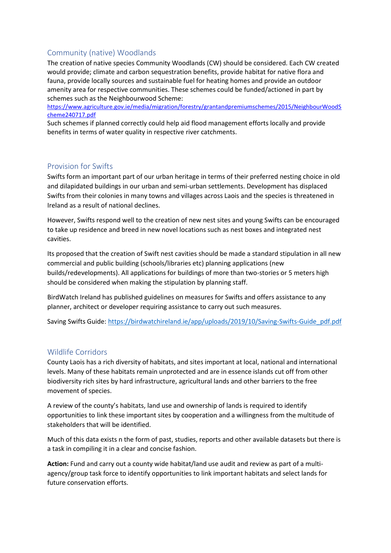## <span id="page-6-0"></span>Community (native) Woodlands

The creation of native species Community Woodlands (CW) should be considered. Each CW created would provide; climate and carbon sequestration benefits, provide habitat for native flora and fauna, provide locally sources and sustainable fuel for heating homes and provide an outdoor amenity area for respective communities. These schemes could be funded/actioned in part by schemes such as the Neighbourwood Scheme:

[https://www.agriculture.gov.ie/media/migration/forestry/grantandpremiumschemes/2015/NeighbourWoodS](https://www.agriculture.gov.ie/media/migration/forestry/grantandpremiumschemes/2015/NeighbourWoodScheme240717.pdf) [cheme240717.pdf](https://www.agriculture.gov.ie/media/migration/forestry/grantandpremiumschemes/2015/NeighbourWoodScheme240717.pdf)

Such schemes if planned correctly could help aid flood management efforts locally and provide benefits in terms of water quality in respective river catchments.

### <span id="page-6-1"></span>Provision for Swifts

Swifts form an important part of our urban heritage in terms of their preferred nesting choice in old and dilapidated buildings in our urban and semi-urban settlements. Development has displaced Swifts from their colonies in many towns and villages across Laois and the species is threatened in Ireland as a result of national declines.

However, Swifts respond well to the creation of new nest sites and young Swifts can be encouraged to take up residence and breed in new novel locations such as nest boxes and integrated nest cavities.

Its proposed that the creation of Swift nest cavities should be made a standard stipulation in all new commercial and public building (schools/libraries etc) planning applications (new builds/redevelopments). All applications for buildings of more than two-stories or 5 meters high should be considered when making the stipulation by planning staff.

BirdWatch Ireland has published guidelines on measures for Swifts and offers assistance to any planner, architect or developer requiring assistance to carry out such measures.

Saving Swifts Guide[: https://birdwatchireland.ie/app/uploads/2019/10/Saving-Swifts-Guide\\_pdf.pdf](https://birdwatchireland.ie/app/uploads/2019/10/Saving-Swifts-Guide_pdf.pdf)

### <span id="page-6-2"></span>Wildlife Corridors

County Laois has a rich diversity of habitats, and sites important at local, national and international levels. Many of these habitats remain unprotected and are in essence islands cut off from other biodiversity rich sites by hard infrastructure, agricultural lands and other barriers to the free movement of species.

A review of the county's habitats, land use and ownership of lands is required to identify opportunities to link these important sites by cooperation and a willingness from the multitude of stakeholders that will be identified.

Much of this data exists n the form of past, studies, reports and other available datasets but there is a task in compiling it in a clear and concise fashion.

**Action:** Fund and carry out a county wide habitat/land use audit and review as part of a multiagency/group task force to identify opportunities to link important habitats and select lands for future conservation efforts.